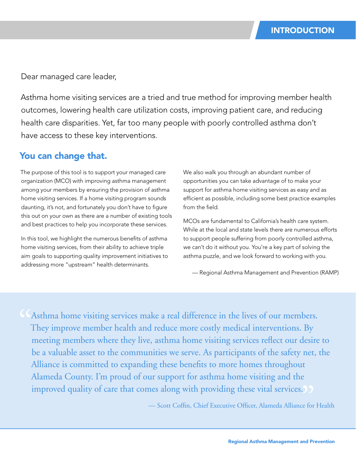Dear managed care leader,

Asthma home visiting services are a tried and true method for improving member health outcomes, lowering health care utilization costs, improving patient care, and reducing health care disparities. Yet, far too many people with poorly controlled asthma don't have access to these key interventions.

## You can change that.

The purpose of this tool is to support your managed care organization (MCO) with improving asthma management among your members by ensuring the provision of asthma home visiting services. If a home visiting program sounds daunting, it's not, and fortunately you don't have to figure this out on your own as there are a number of existing tools and best practices to help you incorporate these services.

In this tool, we highlight the numerous benefits of asthma home visiting services, from their ability to achieve triple aim goals to supporting quality improvement initiatives to addressing more "upstream" health determinants.

We also walk you through an abundant number of opportunities you can take advantage of to make your support for asthma home visiting services as easy and as efficient as possible, including some best practice examples from the field.

MCOs are fundamental to California's health care system. While at the local and state levels there are numerous efforts to support people suffering from poorly controlled asthma, we can't do it without you. You're a key part of solving the asthma puzzle, and we look forward to working with you.

— Regional Asthma Management and Prevention (RAMP)

Asthma home visiting services make a real difference in the lives of our members. They improve member health and reduce more costly medical interventions. By meeting members where they live, asthma home visiting services reflect our desire to be a valuable asset to the communities we serve. As participants of the safety net, the Alliance is committed to expanding these benefits to more homes throughout Alameda County. I'm proud of our support for asthma home visiting and the improved quality of care that comes along with providing these vital services.<br>
— Scott Coffin, Chief Executive Officer, Alameda Alliance for "

— Scott Coffin, Chief Executive Officer, Alameda Alliance for Health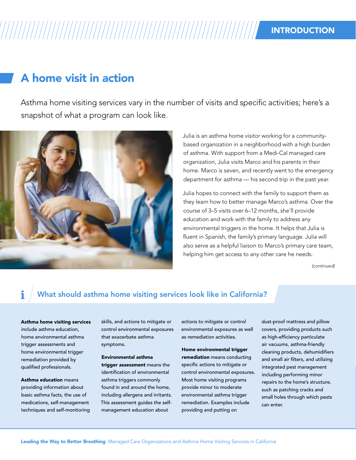# INTRODUCTION

# A home visit in action

Asthma home visiting services vary in the number of visits and specific activities; here's a snapshot of what a program can look like.



Julia is an asthma home visitor working for a communitybased organization in a neighborhood with a high burden of asthma. With support from a Medi-Cal managed care organization, Julia visits Marco and his parents in their home. Marco is seven, and recently went to the emergency department for asthma — his second trip in the past year.

Julia hopes to connect with the family to support them as they learn how to better manage Marco's asthma. Over the course of 3–5 visits over 6–12 months, she'll provide education and work with the family to address any environmental triggers in the home. It helps that Julia is fluent in Spanish, the family's primary language. Julia will also serve as a helpful liaison to Marco's primary care team, helping him get access to any other care he needs.

*(continued)*

### What should asthma home visiting services look like in California?

Asthma home visiting services include asthma education, home environmental asthma trigger assessments and home environmental trigger remediation provided by qualified professionals.

Asthma education means providing information about basic asthma facts, the use of medications, self-management techniques and self-monitoring

skills, and actions to mitigate or control environmental exposures that exacerbate asthma symptoms.

Environmental asthma trigger assessment means the identification of environmental asthma triggers commonly found in and around the home, including allergens and irritants. This assessment guides the selfmanagement education about

actions to mitigate or control environmental exposures as well as remediation activities.

Home environmental trigger remediation means conducting specific actions to mitigate or control environmental exposures. Most home visiting programs provide minor to moderate environmental asthma trigger remediation. Examples include providing and putting on

dust-proof mattress and pillow covers, providing products such as high-efficiency particulate air vacuums, asthma-friendly cleaning products, dehumidifiers and small air filters, and utilizing integrated pest management including performing minor repairs to the home's structure, such as patching cracks and small holes through which pests can enter.